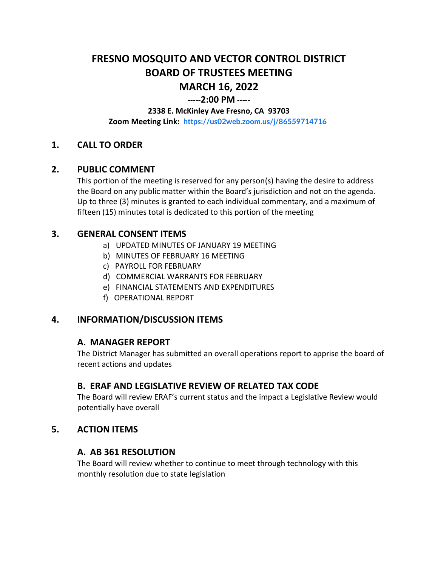# **FRESNO MOSQUITO AND VECTOR CONTROL DISTRICT BOARD OF TRUSTEES MEETING MARCH 16, 2022**

### **-----2:00 PM -----**

#### **2338 E. McKinley Ave Fresno, CA 93703**

**Zoom Meeting Link: <https://us02web.zoom.us/j/86559714716>**

### **1. CALL TO ORDER**

### **2. PUBLIC COMMENT**

This portion of the meeting is reserved for any person(s) having the desire to address the Board on any public matter within the Board's jurisdiction and not on the agenda. Up to three (3) minutes is granted to each individual commentary, and a maximum of fifteen (15) minutes total is dedicated to this portion of the meeting

### **3. GENERAL CONSENT ITEMS**

- a) UPDATED MINUTES OF JANUARY 19 MEETING
- b) MINUTES OF FEBRUARY 16 MEETING
- c) PAYROLL FOR FEBRUARY
- d) COMMERCIAL WARRANTS FOR FEBRUARY
- e) FINANCIAL STATEMENTS AND EXPENDITURES
- f) OPERATIONAL REPORT

### **4. INFORMATION/DISCUSSION ITEMS**

### **A. MANAGER REPORT**

The District Manager has submitted an overall operations report to apprise the board of recent actions and updates

### **B. ERAF AND LEGISLATIVE REVIEW OF RELATED TAX CODE**

The Board will review ERAF's current status and the impact a Legislative Review would potentially have overall

### **5. ACTION ITEMS**

### **A. AB 361 RESOLUTION**

The Board will review whether to continue to meet through technology with this monthly resolution due to state legislation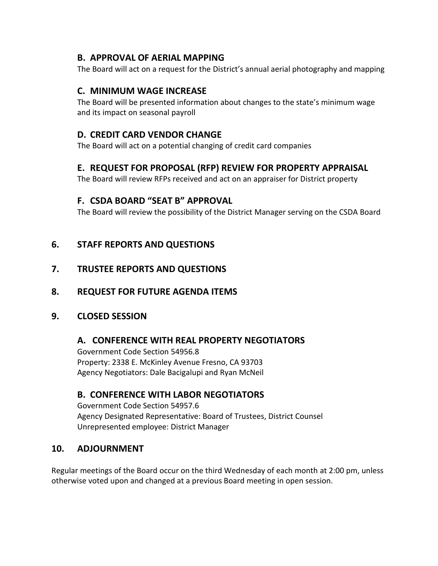### **B. APPROVAL OF AERIAL MAPPING**

The Board will act on a request for the District's annual aerial photography and mapping

### **C. MINIMUM WAGE INCREASE**

The Board will be presented information about changes to the state's minimum wage and its impact on seasonal payroll

### **D. CREDIT CARD VENDOR CHANGE**

The Board will act on a potential changing of credit card companies

## **E. REQUEST FOR PROPOSAL (RFP) REVIEW FOR PROPERTY APPRAISAL**

The Board will review RFPs received and act on an appraiser for District property

### **F. CSDA BOARD "SEAT B" APPROVAL**

The Board will review the possibility of the District Manager serving on the CSDA Board

### **6. STAFF REPORTS AND QUESTIONS**

### **7. TRUSTEE REPORTS AND QUESTIONS**

### **8. REQUEST FOR FUTURE AGENDA ITEMS**

### **9. CLOSED SESSION**

### **A. CONFERENCE WITH REAL PROPERTY NEGOTIATORS**

Government Code Section 54956.8 Property: 2338 E. McKinley Avenue Fresno, CA 93703 Agency Negotiators: Dale Bacigalupi and Ryan McNeil

### **B. CONFERENCE WITH LABOR NEGOTIATORS**

Government Code Section 54957.6 Agency Designated Representative: Board of Trustees, District Counsel Unrepresented employee: District Manager

### **10. ADJOURNMENT**

Regular meetings of the Board occur on the third Wednesday of each month at 2:00 pm, unless otherwise voted upon and changed at a previous Board meeting in open session.